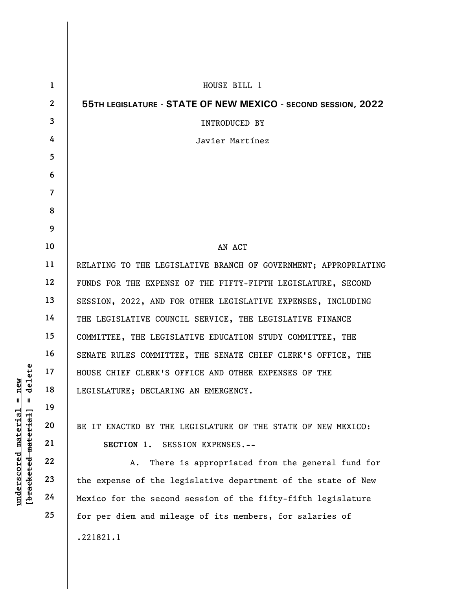|                                                | $\mathbf{1}$   | HOUSE BILL 1                                                    |
|------------------------------------------------|----------------|-----------------------------------------------------------------|
|                                                | $\mathbf{2}$   | 55TH LEGISLATURE - STATE OF NEW MEXICO - SECOND SESSION, 2022   |
|                                                | 3              | <b>INTRODUCED BY</b>                                            |
|                                                | 4              | Javier Martínez                                                 |
|                                                | 5              |                                                                 |
|                                                | 6              |                                                                 |
|                                                | $\overline{7}$ |                                                                 |
|                                                | 8              |                                                                 |
|                                                | 9              |                                                                 |
|                                                | 10             | AN ACT                                                          |
|                                                | 11             | RELATING TO THE LEGISLATIVE BRANCH OF GOVERNMENT; APPROPRIATING |
|                                                | 12             | FUNDS FOR THE EXPENSE OF THE FIFTY-FIFTH LEGISLATURE, SECOND    |
|                                                | 13             | SESSION, 2022, AND FOR OTHER LEGISLATIVE EXPENSES, INCLUDING    |
|                                                | 14             | THE LEGISLATIVE COUNCIL SERVICE, THE LEGISLATIVE FINANCE        |
|                                                | 15             | COMMITTEE, THE LEGISLATIVE EDUCATION STUDY COMMITTEE, THE       |
|                                                | 16             | SENATE RULES COMMITTEE, THE SENATE CHIEF CLERK'S OFFICE, THE    |
| delete                                         | 17             | HOUSE CHIEF CLERK'S OFFICE AND OTHER EXPENSES OF THE            |
| nev<br>Ш<br>Ш                                  | 18             | LEGISLATURE; DECLARING AN EMERGENCY.                            |
|                                                | 19             |                                                                 |
| material                                       | 20             | BE IT ENACTED BY THE LEGISLATURE OF THE STATE OF NEW MEXICO:    |
|                                                | 21             | SESSION EXPENSES.--<br>SECTION 1.                               |
|                                                | 22             | There is appropriated from the general fund for<br>Α.           |
| [ <del>bracketed material</del><br>underscored | 23             | the expense of the legislative department of the state of New   |
|                                                | 24             | Mexico for the second session of the fifty-fifth legislature    |
|                                                | 25             | for per diem and mileage of its members, for salaries of        |
|                                                |                | .221821.1                                                       |
|                                                |                |                                                                 |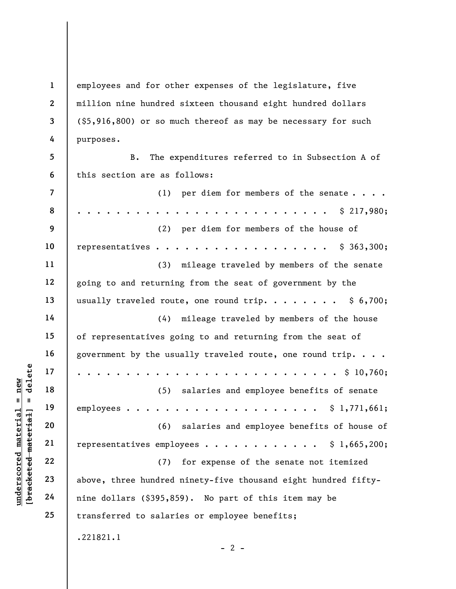2 employees and for other expenses of the legislature, five million nine hundred sixteen thousand eight hundred dollars (\$5,916,800) or so much thereof as may be necessary for such purposes.

5 6 B. The expenditures referred to in Subsection A of this section are as follows:

|                                             | $\overline{\mathcal{L}}$ | per diem for members of the senate<br>(1)                      |
|---------------------------------------------|--------------------------|----------------------------------------------------------------|
|                                             | 8                        | \$217,980;                                                     |
|                                             | 9                        | (2)<br>per diem for members of the house of                    |
|                                             | 10                       | representatives \$ 363,300;                                    |
|                                             | 11                       | mileage traveled by members of the senate<br>(3)               |
|                                             | 12                       | going to and returning from the seat of government by the      |
|                                             | 13                       | usually traveled route, one round trip. $\$ 6,700;$            |
|                                             | 14                       | mileage traveled by members of the house<br>(4)                |
|                                             | 15                       | of representatives going to and returning from the seat of     |
|                                             | 16                       | government by the usually traveled route, one round trip.      |
| delete                                      | 17                       | $\ldots$ $\frac{10}{760}$ ;                                    |
| new                                         | 18                       | (5)<br>salaries and employee benefits of senate                |
| Ш<br>Ш                                      | 19                       |                                                                |
| materia <sup>-</sup><br>[bracketed material | 20                       | salaries and employee benefits of house of<br>(6)              |
|                                             | 21                       | representatives employees \$ 1,665,200;                        |
|                                             | 22                       | for expense of the senate not itemized<br>(7)                  |
| <u>underscored</u>                          | 23                       | above, three hundred ninety-five thousand eight hundred fifty- |
|                                             | 24                       | nine dollars (\$395,859). No part of this item may be          |
|                                             | 25                       | transferred to salaries or employee benefits;                  |
|                                             |                          | .221821.1                                                      |

1

3

4

 $- 2 -$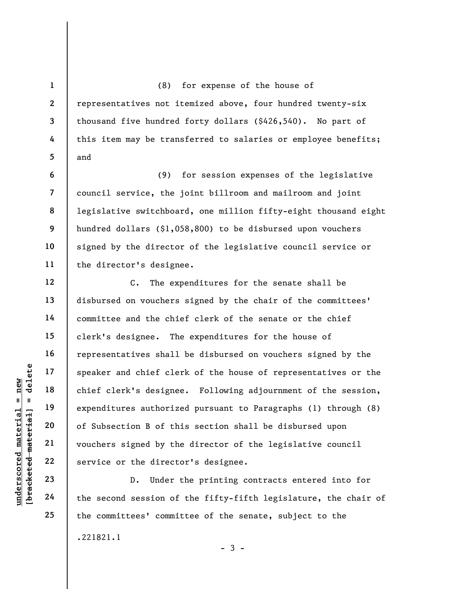(8) for expense of the house of representatives not itemized above, four hundred twenty-six thousand five hundred forty dollars (\$426,540). No part of this item may be transferred to salaries or employee benefits; and

(9) for session expenses of the legislative council service, the joint billroom and mailroom and joint legislative switchboard, one million fifty-eight thousand eight hundred dollars (\$1,058,800) to be disbursed upon vouchers signed by the director of the legislative council service or the director's designee.

under 17<br>
= 18<br>
= 18<br>
= 19<br>
= 19<br>
= 19<br>
= 19<br>
= 19<br>
= 19<br>
= 19<br>
= 19<br>
= 19<br>
= 19<br>
= 19<br>
= 19<br>
= 19<br>
= 19<br>
= 19<br>
= 19<br>
= 19<br>
= 19<br>
= 19<br>
= 19<br>
= 19<br>
= 19<br>
= 19<br>
= 19<br>
= 19<br>
= 19<br>
= 19<br>
= 19<br>
= 19<br>
= 19<br>
= 19<br>
= 19<br>
= 19<br>
= C. The expenditures for the senate shall be disbursed on vouchers signed by the chair of the committees' committee and the chief clerk of the senate or the chief clerk's designee. The expenditures for the house of representatives shall be disbursed on vouchers signed by the speaker and chief clerk of the house of representatives or the chief clerk's designee. Following adjournment of the session, expenditures authorized pursuant to Paragraphs (1) through (8) of Subsection B of this section shall be disbursed upon vouchers signed by the director of the legislative council service or the director's designee.

D. Under the printing contracts entered into for the second session of the fifty-fifth legislature, the chair of the committees' committee of the senate, subject to the .221821.1

22 23 24

25

1

2

3

4

5

6

7

8

9

10

11

12

13

14

15

16

17

18

19

20

21

 $-3 -$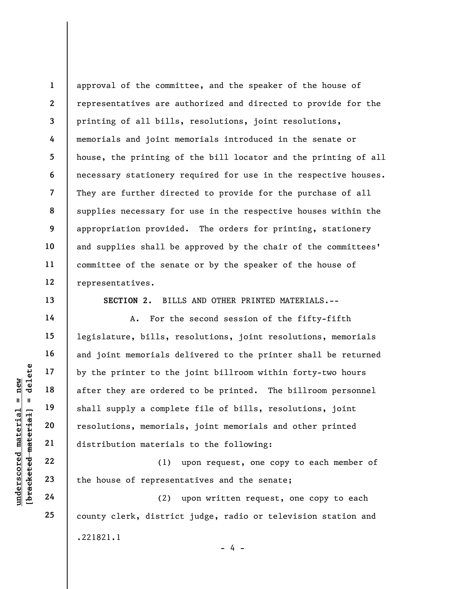1 2 3 4 5 6 7 8 9 10 11 12 approval of the committee, and the speaker of the house of representatives are authorized and directed to provide for the printing of all bills, resolutions, joint resolutions, memorials and joint memorials introduced in the senate or house, the printing of the bill locator and the printing of all necessary stationery required for use in the respective houses. They are further directed to provide for the purchase of all supplies necessary for use in the respective houses within the appropriation provided. The orders for printing, stationery and supplies shall be approved by the chair of the committees' committee of the senate or by the speaker of the house of representatives.

SECTION 2. BILLS AND OTHER PRINTED MATERIALS.--

Understand Mater they are ordered material after they are ordered shall supply a complementation of the material distribution material distribution material distribution material distribution material distribution material A. For the second session of the fifty-fifth legislature, bills, resolutions, joint resolutions, memorials and joint memorials delivered to the printer shall be returned by the printer to the joint billroom within forty-two hours after they are ordered to be printed. The billroom personnel shall supply a complete file of bills, resolutions, joint resolutions, memorials, joint memorials and other printed distribution materials to the following:

(1) upon request, one copy to each member of the house of representatives and the senate;

(2) upon written request, one copy to each county clerk, district judge, radio or television station and .221821.1 - 4 -

13

14

15

16

17

18

19

20

21

22

23

24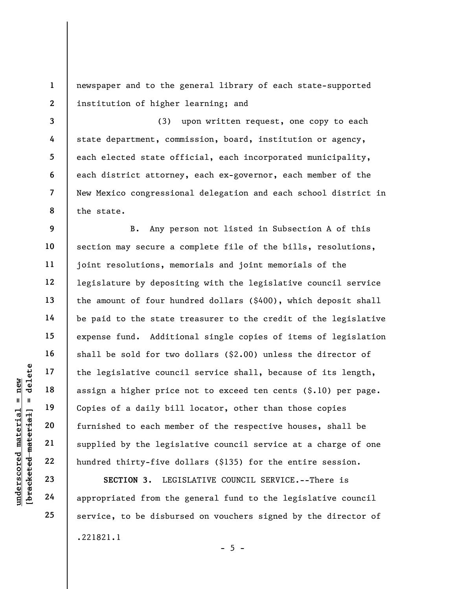1 2 newspaper and to the general library of each state-supported institution of higher learning; and

3 8 (3) upon written request, one copy to each state department, commission, board, institution or agency, each elected state official, each incorporated municipality, each district attorney, each ex-governor, each member of the New Mexico congressional delegation and each school district in the state.

underscored material = new [bracketed material] = delete 12 B. Any person not listed in Subsection A of this section may secure a complete file of the bills, resolutions, joint resolutions, memorials and joint memorials of the legislature by depositing with the legislative council service the amount of four hundred dollars (\$400), which deposit shall be paid to the state treasurer to the credit of the legislative expense fund. Additional single copies of items of legislation shall be sold for two dollars (\$2.00) unless the director of the legislative council service shall, because of its length, assign a higher price not to exceed ten cents (\$.10) per page. Copies of a daily bill locator, other than those copies furnished to each member of the respective houses, shall be supplied by the legislative council service at a charge of one hundred thirty-five dollars (\$135) for the entire session.

SECTION 3. LEGISLATIVE COUNCIL SERVICE.--There is appropriated from the general fund to the legislative council service, to be disbursed on vouchers signed by the director of .221821.1  $- 5 -$ 

4

5

6

7

9

10

11

13

14

15

16

17

18

19

20

21

22

23

24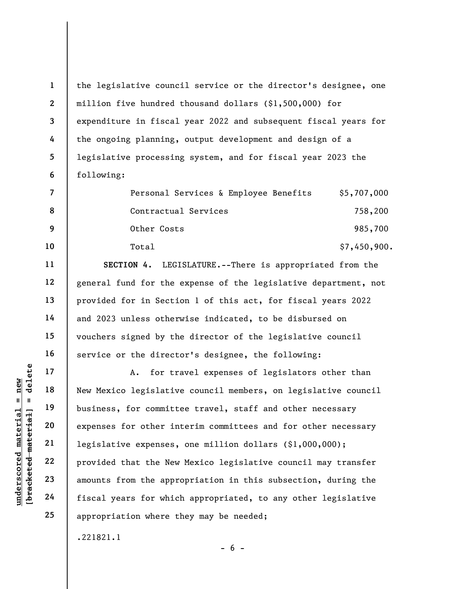1 2 3 4 5 6 the legislative council service or the director's designee, one million five hundred thousand dollars (\$1,500,000) for expenditure in fiscal year 2022 and subsequent fiscal years for the ongoing planning, output development and design of a legislative processing system, and for fiscal year 2023 the following:

|    | Personal Services & Employee Benefits | \$5,707,000  |
|----|---------------------------------------|--------------|
| 8  | Contractual Services                  | 758,200      |
| 9  | Other Costs                           | 985,700      |
| 10 | Total                                 | \$7,450,900. |

SECTION 4. LEGISLATURE.--There is appropriated from the general fund for the expense of the legislative department, not provided for in Section 1 of this act, for fiscal years 2022 and 2023 unless otherwise indicated, to be disbursed on vouchers signed by the director of the legislative council service or the director's designee, the following:

underscored material = new [bracketed material] = delete A. for travel expenses of legislators other than New Mexico legislative council members, on legislative council business, for committee travel, staff and other necessary expenses for other interim committees and for other necessary legislative expenses, one million dollars (\$1,000,000); provided that the New Mexico legislative council may transfer amounts from the appropriation in this subsection, during the fiscal years for which appropriated, to any other legislative appropriation where they may be needed;

 $- 6 -$ 

.221821.1

11

12

13

14

15

16

17

18

19

20

21

22

23

24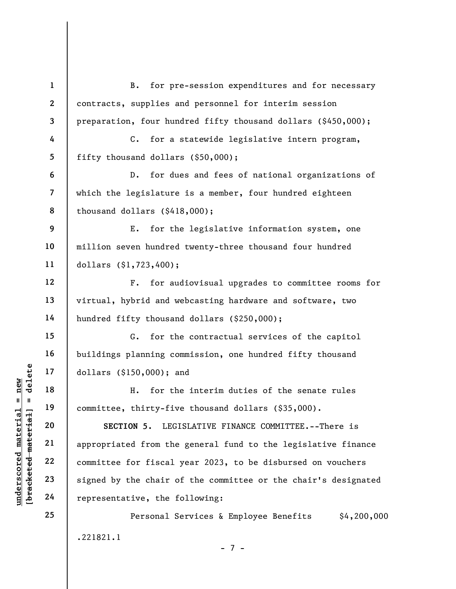|                                                | $\mathbf{1}$            | for pre-session expenditures and for necessary<br><b>B</b> .   |
|------------------------------------------------|-------------------------|----------------------------------------------------------------|
|                                                | $\overline{2}$          | contracts, supplies and personnel for interim session          |
|                                                | 3                       | preparation, four hundred fifty thousand dollars (\$450,000);  |
|                                                | 4                       | for a statewide legislative intern program,<br>$C_{\bullet}$   |
|                                                | 5                       | fifty thousand dollars (\$50,000);                             |
|                                                | 6                       | $D$ .<br>for dues and fees of national organizations of        |
|                                                | $\overline{\mathbf{7}}$ | which the legislature is a member, four hundred eighteen       |
|                                                | 8                       | thousand dollars $(\$418,000)$ ;                               |
|                                                | 9                       | Ε.<br>for the legislative information system, one              |
|                                                | 10                      | million seven hundred twenty-three thousand four hundred       |
|                                                | 11                      | dollars $(§1, 723, 400);$                                      |
|                                                | 12                      | $F$ .<br>for audiovisual upgrades to committee rooms for       |
|                                                | 13                      | virtual, hybrid and webcasting hardware and software, two      |
|                                                | 14                      | hundred fifty thousand dollars (\$250,000);                    |
|                                                | 15                      | G.<br>for the contractual services of the capitol              |
|                                                | 16                      | buildings planning commission, one hundred fifty thousand      |
| delete                                         | 17                      | dollars (\$150,000); and                                       |
| new<br>$\mathsf{II}^-$<br>- 11                 | 18                      | for the interim duties of the senate rules<br>Η.               |
|                                                | 19                      | committee, thirty-five thousand dollars (\$35,000).            |
| materia                                        | 20                      | SECTION 5. LEGISLATIVE FINANCE COMMITTEE.--There is            |
|                                                | 21                      | appropriated from the general fund to the legislative finance  |
| [bracketed material<br>$\bm{{\rm underscore}}$ | 22                      | committee for fiscal year 2023, to be disbursed on vouchers    |
|                                                | 23                      | signed by the chair of the committee or the chair's designated |
|                                                | 24                      | representative, the following:                                 |
|                                                | 25                      | Personal Services & Employee Benefits<br>\$4,200,000           |
|                                                |                         | .221821.1<br>$-7 -$                                            |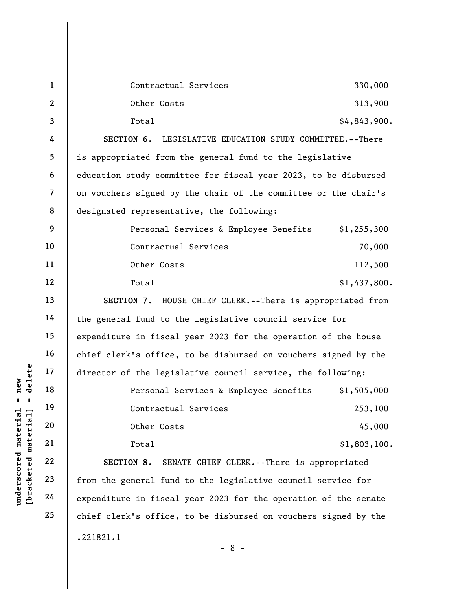|                                                           | $\mathbf{1}$   | Contractual Services                                            | 330,000      |  |  |
|-----------------------------------------------------------|----------------|-----------------------------------------------------------------|--------------|--|--|
|                                                           | $\mathbf{2}$   | Other Costs                                                     | 313,900      |  |  |
|                                                           | 3              | Total                                                           | \$4,843,900. |  |  |
|                                                           | 4              | SECTION 6.<br>LEGISLATIVE EDUCATION STUDY COMMITTEE. -- There   |              |  |  |
|                                                           | 5              | is appropriated from the general fund to the legislative        |              |  |  |
|                                                           | 6              | education study committee for fiscal year 2023, to be disbursed |              |  |  |
|                                                           | $\overline{7}$ | on vouchers signed by the chair of the committee or the chair's |              |  |  |
|                                                           | 8              | designated representative, the following:                       |              |  |  |
|                                                           | 9              | Personal Services & Employee Benefits                           | \$1,255,300  |  |  |
|                                                           | 10             | Contractual Services                                            | 70,000       |  |  |
|                                                           | 11             | Other Costs                                                     | 112,500      |  |  |
|                                                           | 12             | Total                                                           | \$1,437,800. |  |  |
|                                                           | 13             | SECTION 7. HOUSE CHIEF CLERK. -- There is appropriated from     |              |  |  |
|                                                           | 14             | the general fund to the legislative council service for         |              |  |  |
|                                                           | 15             | expenditure in fiscal year 2023 for the operation of the house  |              |  |  |
|                                                           | 16             | chief clerk's office, to be disbursed on vouchers signed by the |              |  |  |
| delete                                                    | 17             | director of the legislative council service, the following:     |              |  |  |
| new                                                       | 18             | Personal Services & Employee Benefits                           | \$1,505,000  |  |  |
| Ш<br>- II                                                 | 19             | Contractual Services                                            | 253,100      |  |  |
|                                                           | 20             | Other Costs                                                     | 45,000       |  |  |
|                                                           | 21             | Total                                                           | \$1,803,100. |  |  |
|                                                           | 22             | SECTION 8.<br>SENATE CHIEF CLERK.--There is appropriated        |              |  |  |
| underscored material<br>[ <del>bracketed material</del> ] | 23             | from the general fund to the legislative council service for    |              |  |  |
|                                                           | 24             | expenditure in fiscal year 2023 for the operation of the senate |              |  |  |
|                                                           | 25             | chief clerk's office, to be disbursed on vouchers signed by the |              |  |  |
|                                                           |                | .221821.1<br>Q                                                  |              |  |  |

- 8 -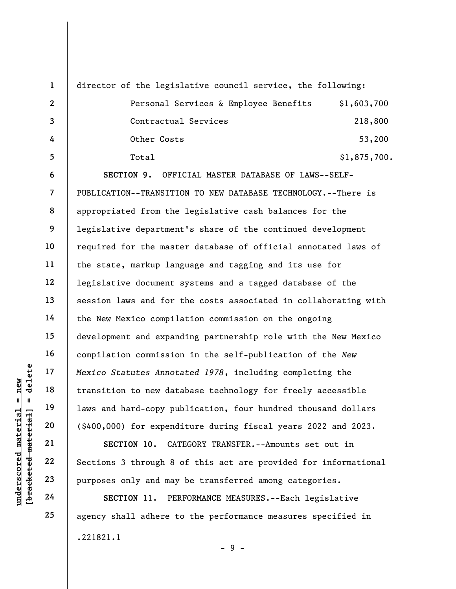|  | $\mathbf{1}$                      |                                       |                                                                                                                                                                                                                                                                                                                                                                                                                                                                                                                                                                                                                                                                                                                                                                                                                                                                                                                                                                                                                                                                                                                                                                                                                                                     |
|--|-----------------------------------|---------------------------------------|-----------------------------------------------------------------------------------------------------------------------------------------------------------------------------------------------------------------------------------------------------------------------------------------------------------------------------------------------------------------------------------------------------------------------------------------------------------------------------------------------------------------------------------------------------------------------------------------------------------------------------------------------------------------------------------------------------------------------------------------------------------------------------------------------------------------------------------------------------------------------------------------------------------------------------------------------------------------------------------------------------------------------------------------------------------------------------------------------------------------------------------------------------------------------------------------------------------------------------------------------------|
|  | $\mathbf{2}$                      | Personal Services & Employee Benefits | \$1,603,700                                                                                                                                                                                                                                                                                                                                                                                                                                                                                                                                                                                                                                                                                                                                                                                                                                                                                                                                                                                                                                                                                                                                                                                                                                         |
|  | $\overline{\mathbf{3}}$           | Contractual Services                  | 218,800                                                                                                                                                                                                                                                                                                                                                                                                                                                                                                                                                                                                                                                                                                                                                                                                                                                                                                                                                                                                                                                                                                                                                                                                                                             |
|  | 4                                 | Other Costs                           | 53,200                                                                                                                                                                                                                                                                                                                                                                                                                                                                                                                                                                                                                                                                                                                                                                                                                                                                                                                                                                                                                                                                                                                                                                                                                                              |
|  | 5                                 | Total                                 | \$1,875,700.                                                                                                                                                                                                                                                                                                                                                                                                                                                                                                                                                                                                                                                                                                                                                                                                                                                                                                                                                                                                                                                                                                                                                                                                                                        |
|  | 6                                 |                                       |                                                                                                                                                                                                                                                                                                                                                                                                                                                                                                                                                                                                                                                                                                                                                                                                                                                                                                                                                                                                                                                                                                                                                                                                                                                     |
|  | $\overline{7}$<br>8<br>9          |                                       |                                                                                                                                                                                                                                                                                                                                                                                                                                                                                                                                                                                                                                                                                                                                                                                                                                                                                                                                                                                                                                                                                                                                                                                                                                                     |
|  |                                   |                                       |                                                                                                                                                                                                                                                                                                                                                                                                                                                                                                                                                                                                                                                                                                                                                                                                                                                                                                                                                                                                                                                                                                                                                                                                                                                     |
|  |                                   |                                       |                                                                                                                                                                                                                                                                                                                                                                                                                                                                                                                                                                                                                                                                                                                                                                                                                                                                                                                                                                                                                                                                                                                                                                                                                                                     |
|  | 10                                |                                       |                                                                                                                                                                                                                                                                                                                                                                                                                                                                                                                                                                                                                                                                                                                                                                                                                                                                                                                                                                                                                                                                                                                                                                                                                                                     |
|  | 11                                |                                       |                                                                                                                                                                                                                                                                                                                                                                                                                                                                                                                                                                                                                                                                                                                                                                                                                                                                                                                                                                                                                                                                                                                                                                                                                                                     |
|  | 12                                |                                       |                                                                                                                                                                                                                                                                                                                                                                                                                                                                                                                                                                                                                                                                                                                                                                                                                                                                                                                                                                                                                                                                                                                                                                                                                                                     |
|  | 13                                |                                       |                                                                                                                                                                                                                                                                                                                                                                                                                                                                                                                                                                                                                                                                                                                                                                                                                                                                                                                                                                                                                                                                                                                                                                                                                                                     |
|  | 14                                |                                       |                                                                                                                                                                                                                                                                                                                                                                                                                                                                                                                                                                                                                                                                                                                                                                                                                                                                                                                                                                                                                                                                                                                                                                                                                                                     |
|  | 15                                |                                       |                                                                                                                                                                                                                                                                                                                                                                                                                                                                                                                                                                                                                                                                                                                                                                                                                                                                                                                                                                                                                                                                                                                                                                                                                                                     |
|  | 16                                |                                       |                                                                                                                                                                                                                                                                                                                                                                                                                                                                                                                                                                                                                                                                                                                                                                                                                                                                                                                                                                                                                                                                                                                                                                                                                                                     |
|  | 17                                |                                       |                                                                                                                                                                                                                                                                                                                                                                                                                                                                                                                                                                                                                                                                                                                                                                                                                                                                                                                                                                                                                                                                                                                                                                                                                                                     |
|  | 18                                |                                       |                                                                                                                                                                                                                                                                                                                                                                                                                                                                                                                                                                                                                                                                                                                                                                                                                                                                                                                                                                                                                                                                                                                                                                                                                                                     |
|  | 19                                |                                       |                                                                                                                                                                                                                                                                                                                                                                                                                                                                                                                                                                                                                                                                                                                                                                                                                                                                                                                                                                                                                                                                                                                                                                                                                                                     |
|  | 20                                |                                       |                                                                                                                                                                                                                                                                                                                                                                                                                                                                                                                                                                                                                                                                                                                                                                                                                                                                                                                                                                                                                                                                                                                                                                                                                                                     |
|  | 21                                | SECTION 10.                           |                                                                                                                                                                                                                                                                                                                                                                                                                                                                                                                                                                                                                                                                                                                                                                                                                                                                                                                                                                                                                                                                                                                                                                                                                                                     |
|  | 22                                |                                       |                                                                                                                                                                                                                                                                                                                                                                                                                                                                                                                                                                                                                                                                                                                                                                                                                                                                                                                                                                                                                                                                                                                                                                                                                                                     |
|  | 23                                |                                       |                                                                                                                                                                                                                                                                                                                                                                                                                                                                                                                                                                                                                                                                                                                                                                                                                                                                                                                                                                                                                                                                                                                                                                                                                                                     |
|  | 24                                | SECTION 11.                           |                                                                                                                                                                                                                                                                                                                                                                                                                                                                                                                                                                                                                                                                                                                                                                                                                                                                                                                                                                                                                                                                                                                                                                                                                                                     |
|  | delete<br>-material<br>[bracketed |                                       | director of the legislative council service, the following:<br>SECTION 9. OFFICIAL MASTER DATABASE OF LAWS--SELF-<br>PUBLICATION--TRANSITION TO NEW DATABASE TECHNOLOGY.--There is<br>appropriated from the legislative cash balances for the<br>legislative department's share of the continued development<br>required for the master database of official annotated laws of<br>the state, markup language and tagging and its use for<br>legislative document systems and a tagged database of the<br>session laws and for the costs associated in collaborating with<br>the New Mexico compilation commission on the ongoing<br>development and expanding partnership role with the New Mexico<br>compilation commission in the self-publication of the New<br>Mexico Statutes Annotated 1978, including completing the<br>transition to new database technology for freely accessible<br>laws and hard-copy publication, four hundred thousand dollars<br>(\$400,000) for expenditure during fiscal years 2022 and 2023.<br>CATEGORY TRANSFER. -- Amounts set out in<br>Sections 3 through 8 of this act are provided for informational<br>purposes only and may be transferred among categories.<br>PERFORMANCE MEASURES. -- Each legislative |

SECTION 11. PERFORMANCE MEASURES.--Each legislative agency shall adhere to the performance measures specified in .221821.1 - 9 -

24 25